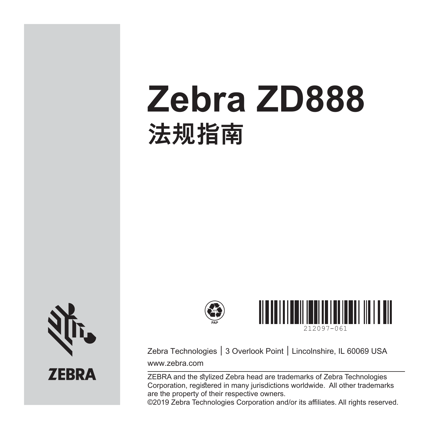# **Zebra ZD888 法规指南**



**ZEBRA** 





Zebra Technologies │ 3 Overlook Point │ Lincolnshire, IL 60069 USA www.zebra.com

ZEBRA and the stylized Zebra head are trademarks of Zebra Technologies Corporation, registered in many jurisdictions worldwide. All other trademarks are the property of their respective owners.

©2019 Zebra Technologies Corporation and/or its affiliates. All rights reserved.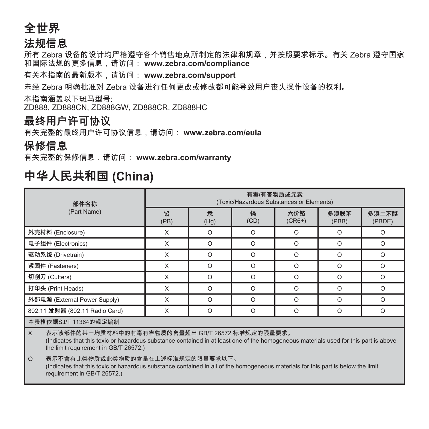### **全世界**

#### **法规信息**

所有 Zebra 设备的设计均严格遵守各个销售地点所制定的法律和规章,并按照要求标示。有关 Zebra 遵守国家 和国际法规的更多信息,请访问: **www.zebra.com/compliance**

有关本指南的最新版本,请访问: **www.zebra.com/support**

未经 Zebra 明确批准对 Zebra 设备进行任何更改或修改都可能导致用户丧失操作设备的权利。

本指南涵盖以下斑马型号:

ZD888, ZD888CN, ZD888GW, ZD888CR, ZD888HC

#### **最终用户许可协议**

有关完整的最终用户许可协议信息,请访问: **www.zebra.com/eula**

#### **保修信息**

有关完整的保修信息,请访问: **www.zebra.com/warranty**

| 部件名称<br>(Part Name)                                                                                                                                                                                                                     | 有毒/有害物质或元素<br>(Toxic/Hazardous Substances or Elements) |           |           |                 |               |                 |
|-----------------------------------------------------------------------------------------------------------------------------------------------------------------------------------------------------------------------------------------|--------------------------------------------------------|-----------|-----------|-----------------|---------------|-----------------|
|                                                                                                                                                                                                                                         | 铅<br>(PB)                                              | 汞<br>(Hg) | 镉<br>(CD) | 六价铬<br>$(CR6+)$ | 多溴联苯<br>(PBB) | 多溴二苯醚<br>(PBDE) |
| 外壳材料 (Enclosure)                                                                                                                                                                                                                        | X                                                      | $\Omega$  | $\Omega$  | $\Omega$        | $\Omega$      | $\Omega$        |
| 电子组件 (Electronics)                                                                                                                                                                                                                      | X                                                      | $\Omega$  | $\Omega$  | $\Omega$        | $\Omega$      | $\Omega$        |
| 驱动系统 (Drivetrain)                                                                                                                                                                                                                       | X                                                      | $\Omega$  | $\Omega$  | $\Omega$        | $\Omega$      | $\Omega$        |
| 紧固件 (Fasteners)                                                                                                                                                                                                                         | X                                                      | $\Omega$  | $\Omega$  | $\Omega$        | $\Omega$      | $\Omega$        |
| 切削刀 (Cutters)                                                                                                                                                                                                                           | X                                                      | $\Omega$  | $\Omega$  | $\Omega$        | $\Omega$      | $\Omega$        |
| 打印头 (Print Heads)                                                                                                                                                                                                                       | X                                                      | $\Omega$  | $\Omega$  | $\Omega$        | $\Omega$      | $\Omega$        |
| 外部电源 (External Power Supply)                                                                                                                                                                                                            | X                                                      | $\Omega$  | $\Omega$  | $\Omega$        | $\Omega$      | $\Omega$        |
| 802.11 发射器 (802.11 Radio Card)                                                                                                                                                                                                          | X                                                      | O         | $\Omega$  | O               | $\circ$       | O               |
| 本表格依据SJ/T 11364的规定编制                                                                                                                                                                                                                    |                                                        |           |           |                 |               |                 |
| l x<br>表示该部件的某一均质材料中的有毒有害物质的含量超出 GB/T 26572 标准规定的限量要求。<br>(Indicates that this toxic or hazardous substance contained in at least one of the homogeneous materials used for this part is above<br>the limit requirement in GB/T 26572.) |                                                        |           |           |                 |               |                 |
| $\circ$<br>表示不含有此类物质或此类物质的含量在上述标准规定的限量要求以下。                                                                                                                                                                                             |                                                        |           |           |                 |               |                 |

# **中华人民共和国 (China)**

(Indicates that this toxic or hazardous substance contained in all of the homogeneous materials for this part is below the limit requirement in GB/T 26572.)